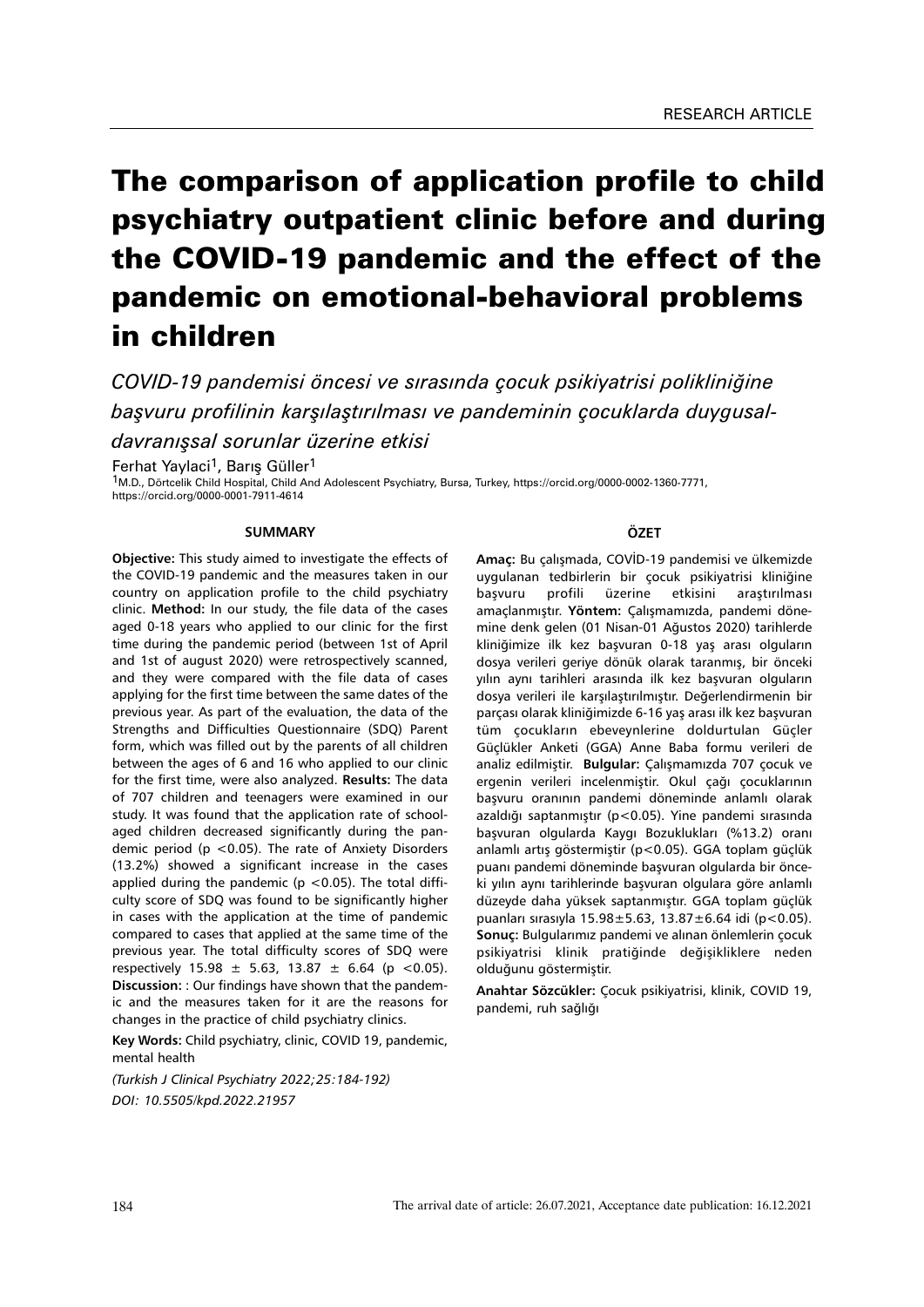# The comparison of application profile to child psychiatry outpatient clinic before and during the COVID-19 pandemic and the effect of the pandemic on emotional-behavioral problems in children

*COVID-19 pandemisi öncesi ve sırasında çocuk psikiyatrisi polikliniğine başvuru profilinin karşılaştırılması ve pandeminin çocuklarda duygusaldavranışsal sorunlar üzerine etkisi*

Ferhat Yavlaci<sup>1</sup>, Barıs Güller<sup>1</sup>

1M.D., Dörtcelik Child Hospital, Child And Adolescent Psychiatry, Bursa, Turkey, https://orcid.org/0000-0002-1360-7771, https://orcid.org/0000-0001-7911-4614

#### **SUMMARY**

**Objective:** This study aimed to investigate the effects of the COVID-19 pandemic and the measures taken in our country on application profile to the child psychiatry clinic. **Method:** In our study, the file data of the cases aged 0-18 years who applied to our clinic for the first time during the pandemic period (between 1st of April and 1st of august 2020) were retrospectively scanned, and they were compared with the file data of cases applying for the first time between the same dates of the previous year. As part of the evaluation, the data of the Strengths and Difficulties Questionnaire (SDQ) Parent form, which was filled out by the parents of all children between the ages of 6 and 16 who applied to our clinic for the first time, were also analyzed. **Results:** The data of 707 children and teenagers were examined in our study. It was found that the application rate of schoolaged children decreased significantly during the pandemic period ( $p$  < 0.05). The rate of Anxiety Disorders (13.2%) showed a significant increase in the cases applied during the pandemic ( $p$  <0.05). The total difficulty score of SDQ was found to be significantly higher in cases with the application at the time of pandemic compared to cases that applied at the same time of the previous year. The total difficulty scores of SDQ were respectively  $15.98 \pm 5.63$ ,  $13.87 \pm 6.64$  (p <0.05). **Discussion:** : Our findings have shown that the pandemic and the measures taken for it are the reasons for changes in the practice of child psychiatry clinics.

**Key Words:** Child psychiatry, clinic, COVID 19, pandemic, mental health

*(Turkish J Clinical Psychiatry 2022;25:184-192) DOI: 10.5505/kpd.2022.21957*

#### **ÖZET**

**Amaç:** Bu çalışmada, COVİD-19 pandemisi ve ülkemizde uygulanan tedbirlerin bir çocuk psikiyatrisi kliniğine başvuru profili üzerine etkisini araştırılması amaçlanmıştır. **Yöntem:** Çalışmamızda, pandemi dönemine denk gelen (01 Nisan-01 Ağustos 2020) tarihlerde kliniğimize ilk kez başvuran 0-18 yaş arası olguların dosya verileri geriye dönük olarak taranmış, bir önceki yılın aynı tarihleri arasında ilk kez başvuran olguların dosya verileri ile karşılaştırılmıştır. Değerlendirmenin bir parçası olarak kliniğimizde 6-16 yaş arası ilk kez başvuran tüm çocukların ebeveynlerine doldurtulan Güçler Güçlükler Anketi (GGA) Anne Baba formu verileri de analiz edilmiştir. **Bulgular:** Çalışmamızda 707 çocuk ve ergenin verileri incelenmiştir. Okul çağı çocuklarının başvuru oranının pandemi döneminde anlamlı olarak azaldığı saptanmıştır (p<0.05). Yine pandemi sırasında başvuran olgularda Kaygı Bozuklukları (%13.2) oranı anlamlı artış göstermiştir (p<0.05). GGA toplam güçlük puanı pandemi döneminde başvuran olgularda bir önceki yılın aynı tarihlerinde başvuran olgulara göre anlamlı düzeyde daha yüksek saptanmıştır. GGA toplam güçlük puanları sırasıyla 15.98±5.63, 13.87±6.64 idi (p<0.05). **Sonuç:** Bulgularımız pandemi ve alınan önlemlerin çocuk psikiyatrisi klinik pratiğinde değişikliklere neden olduğunu göstermiştir.

**Anahtar Sözcükler:** Çocuk psikiyatrisi, klinik, COVID 19, pandemi, ruh sağlığı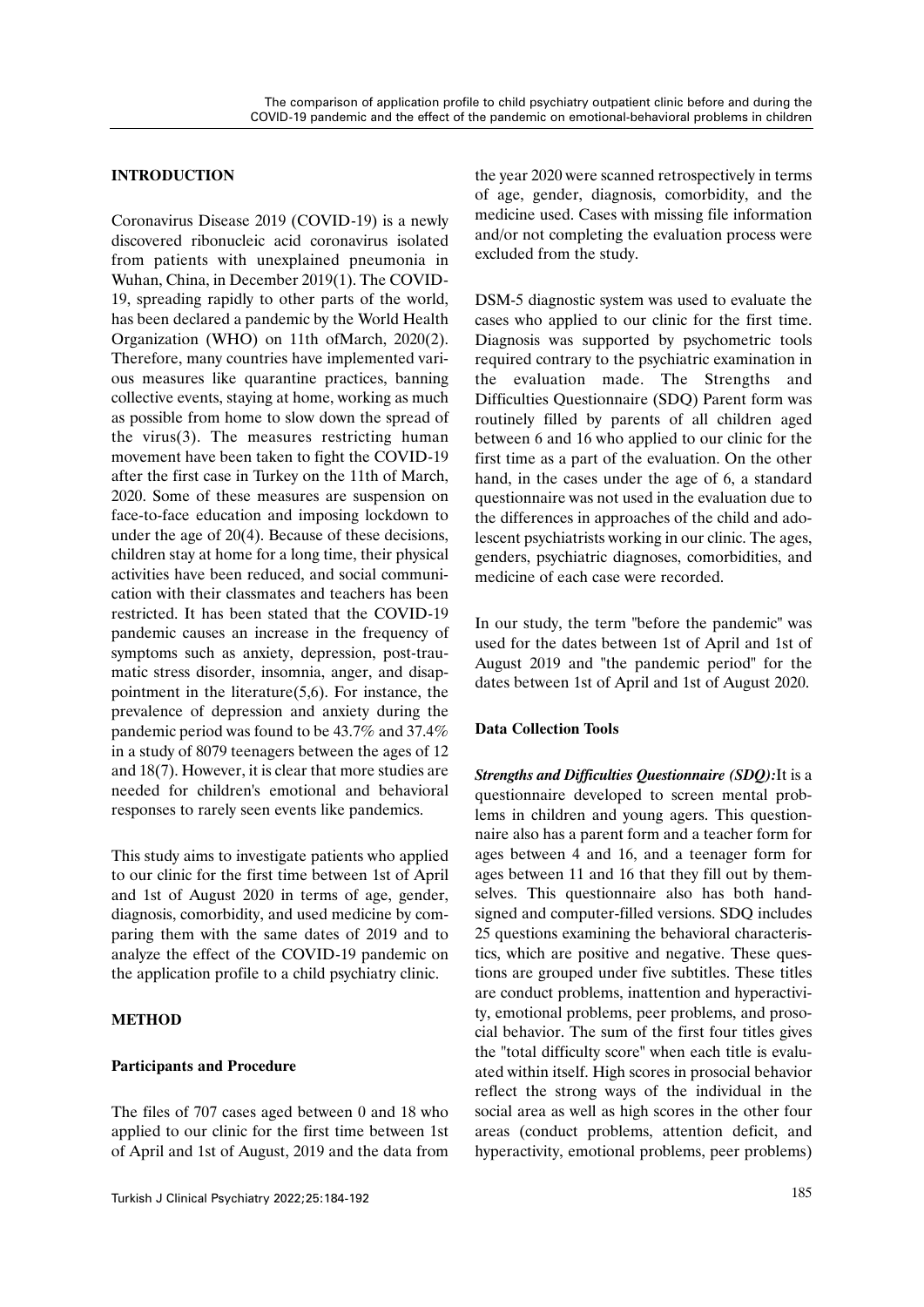## **INTRODUCTION**

Coronavirus Disease 2019 (COVID-19) is a newly discovered ribonucleic acid coronavirus isolated from patients with unexplained pneumonia in Wuhan, China, in December 2019(1). The COVID-19, spreading rapidly to other parts of the world, has been declared a pandemic by the World Health Organization (WHO) on 11th ofMarch, 2020(2). Therefore, many countries have implemented various measures like quarantine practices, banning collective events, staying at home, working as much as possible from home to slow down the spread of the virus(3). The measures restricting human movement have been taken to fight the COVID-19 after the first case in Turkey on the 11th of March, 2020. Some of these measures are suspension on face-to-face education and imposing lockdown to under the age of 20(4). Because of these decisions, children stay at home for a long time, their physical activities have been reduced, and social communication with their classmates and teachers has been restricted. It has been stated that the COVID-19 pandemic causes an increase in the frequency of symptoms such as anxiety, depression, post-traumatic stress disorder, insomnia, anger, and disappointment in the literature $(5,6)$ . For instance, the prevalence of depression and anxiety during the pandemic period was found to be 43.7% and 37.4% in a study of 8079 teenagers between the ages of 12 and 18(7). However, it is clear that more studies are needed for children's emotional and behavioral responses to rarely seen events like pandemics.

This study aims to investigate patients who applied to our clinic for the first time between 1st of April and 1st of August 2020 in terms of age, gender, diagnosis, comorbidity, and used medicine by comparing them with the same dates of 2019 and to analyze the effect of the COVID-19 pandemic on the application profile to a child psychiatry clinic.

## **METHOD**

## **Participants and Procedure**

The files of 707 cases aged between 0 and 18 who applied to our clinic for the first time between 1st of April and 1st of August, 2019 and the data from the year 2020 were scanned retrospectively in terms of age, gender, diagnosis, comorbidity, and the medicine used. Cases with missing file information and/or not completing the evaluation process were excluded from the study.

DSM-5 diagnostic system was used to evaluate the cases who applied to our clinic for the first time. Diagnosis was supported by psychometric tools required contrary to the psychiatric examination in the evaluation made. The Strengths and Difficulties Questionnaire (SDQ) Parent form was routinely filled by parents of all children aged between 6 and 16 who applied to our clinic for the first time as a part of the evaluation. On the other hand, in the cases under the age of 6, a standard questionnaire was not used in the evaluation due to the differences in approaches of the child and adolescent psychiatrists working in our clinic. The ages, genders, psychiatric diagnoses, comorbidities, and medicine of each case were recorded.

In our study, the term "before the pandemic" was used for the dates between 1st of April and 1st of August 2019 and "the pandemic period" for the dates between 1st of April and 1st of August 2020.

## **Data Collection Tools**

*Strengths and Difficulties Questionnaire (SDQ):*It is a questionnaire developed to screen mental problems in children and young agers. This questionnaire also has a parent form and a teacher form for ages between 4 and 16, and a teenager form for ages between 11 and 16 that they fill out by themselves. This questionnaire also has both handsigned and computer-filled versions. SDQ includes 25 questions examining the behavioral characteristics, which are positive and negative. These questions are grouped under five subtitles. These titles are conduct problems, inattention and hyperactivity, emotional problems, peer problems, and prosocial behavior. The sum of the first four titles gives the "total difficulty score" when each title is evaluated within itself. High scores in prosocial behavior reflect the strong ways of the individual in the social area as well as high scores in the other four areas (conduct problems, attention deficit, and hyperactivity, emotional problems, peer problems)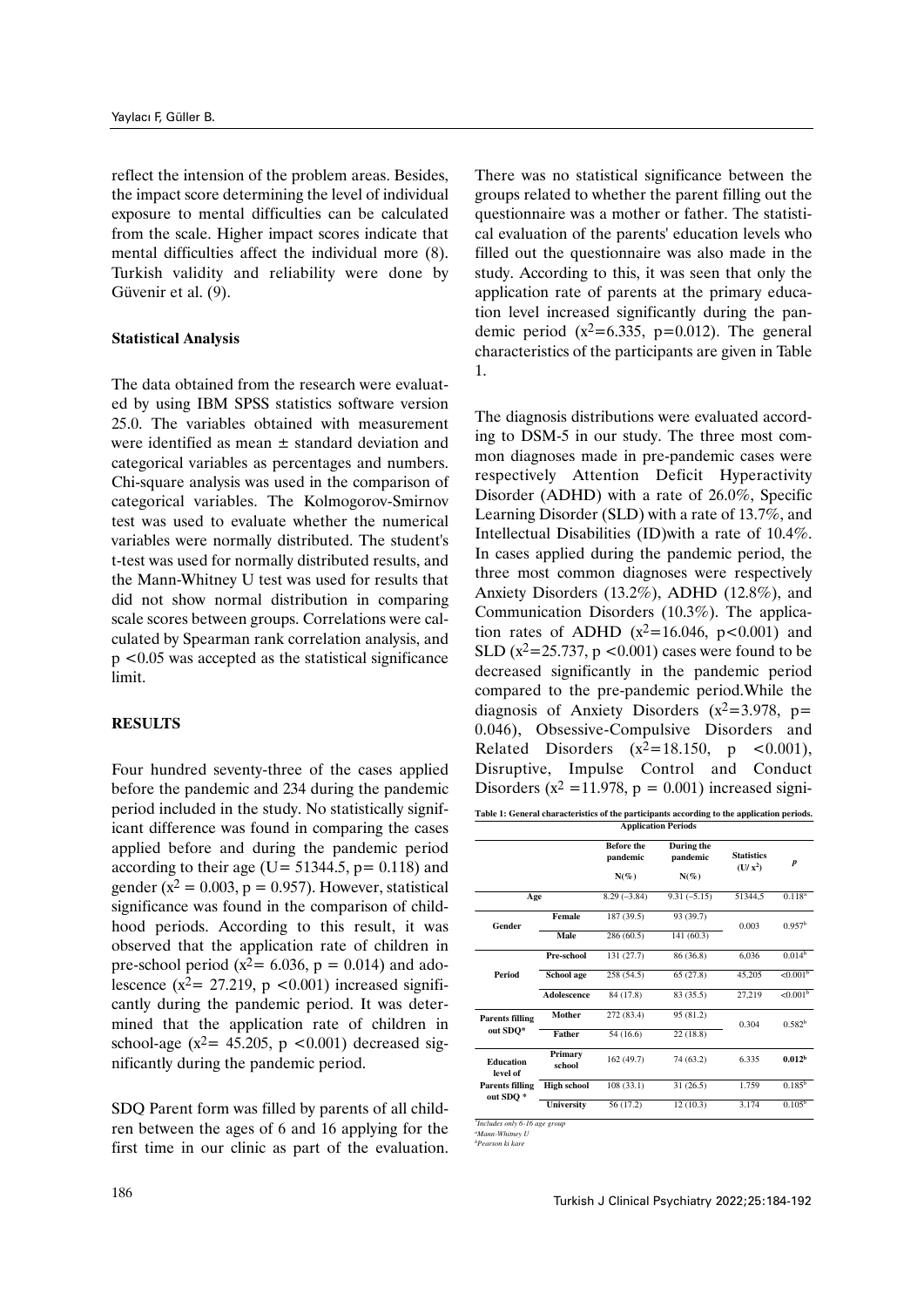reflect the intension of the problem areas. Besides, the impact score determining the level of individual exposure to mental difficulties can be calculated from the scale. Higher impact scores indicate that mental difficulties affect the individual more (8). Turkish validity and reliability were done by Güvenir et al. (9).

#### **Statistical Analysis**

The data obtained from the research were evaluated by using IBM SPSS statistics software version 25.0. The variables obtained with measurement were identified as mean  $\pm$  standard deviation and categorical variables as percentages and numbers. Chi-square analysis was used in the comparison of categorical variables. The Kolmogorov-Smirnov test was used to evaluate whether the numerical variables were normally distributed. The student's t-test was used for normally distributed results, and the Mann-Whitney U test was used for results that did not show normal distribution in comparing scale scores between groups. Correlations were calculated by Spearman rank correlation analysis, and p <0.05 was accepted as the statistical significance limit.

## **RESULTS**

Four hundred seventy-three of the cases applied before the pandemic and 234 during the pandemic period included in the study. No statistically significant difference was found in comparing the cases applied before and during the pandemic period according to their age (U=  $51344.5$ , p= 0.118) and gender ( $x^2 = 0.003$ ,  $p = 0.957$ ). However, statistical significance was found in the comparison of childhood periods. According to this result, it was observed that the application rate of children in pre-school period ( $x^2$  = 6.036, p = 0.014) and adolescence ( $x^2$  = 27.219, p <0.001) increased significantly during the pandemic period. It was determined that the application rate of children in school-age ( $x^2$ = 45.205, p <0.001) decreased significantly during the pandemic period.

SDQ Parent form was filled by parents of all children between the ages of 6 and 16 applying for the first time in our clinic as part of the evaluation.

There was no statistical significance between the groups related to whether the parent filling out the questionnaire was a mother or father. The statistical evaluation of the parents' education levels who filled out the questionnaire was also made in the study. According to this, it was seen that only the application rate of parents at the primary education level increased significantly during the pandemic period  $(x^2=6.335, p=0.012)$ . The general characteristics of the participants are given in Table 1.

The diagnosis distributions were evaluated according to DSM-5 in our study. The three most common diagnoses made in pre-pandemic cases were respectively Attention Deficit Hyperactivity Disorder (ADHD) with a rate of 26.0%, Specific Learning Disorder (SLD) with a rate of 13.7%, and Intellectual Disabilities (ID)with a rate of 10.4%. In cases applied during the pandemic period, the three most common diagnoses were respectively Anxiety Disorders (13.2%), ADHD (12.8%), and Communication Disorders (10.3%). The application rates of ADHD  $(x^2=16.046, p<0.001)$  and SLD ( $x^2$ =25.737, p <0.001) cases were found to be decreased significantly in the pandemic period compared to the pre-pandemic period.While the diagnosis of Anxiety Disorders  $(x^2=3.978, p=$ 0.046), Obsessive-Compulsive Disorders and Related Disorders  $(x^2=18.150, p < 0.001)$ , Disruptive, Impulse Control and Conduct Disorders ( $x^2$  =11.978,  $p = 0.001$ ) increased signi-

| Table 1: General characteristics of the participants according to the application periods.<br><b>Application Periods</b> |                    |                                          |                                   |                                  |                      |  |
|--------------------------------------------------------------------------------------------------------------------------|--------------------|------------------------------------------|-----------------------------------|----------------------------------|----------------------|--|
|                                                                                                                          |                    | <b>Before the</b><br>pandemic<br>$N(\%)$ | During the<br>pandemic<br>$N(\%)$ | <b>Statistics</b><br>$(U / x^2)$ | $\boldsymbol{p}$     |  |
| Age                                                                                                                      |                    | $8.29(-3.84)$                            | $9.31(-5.15)$                     | 51344,5                          | $0.118^{a}$          |  |
| Gender                                                                                                                   | Female             | 187(39.5)                                | 93 (39.7)                         | 0.003                            | 0.957 <sup>b</sup>   |  |
|                                                                                                                          | Male               | 286 (60.5)                               | 141 (60.3)                        |                                  |                      |  |
|                                                                                                                          | Pre-school         | 131 (27.7)                               | 86 (36.8)                         | 6,036                            | $0.014^{b}$          |  |
| Period                                                                                                                   | School age         | 258 (54.5)                               | 65 (27.8)                         | 45,205                           | $< 0.001^b$          |  |
|                                                                                                                          | <b>Adolescence</b> | 84 (17.8)                                | 83 (35.5)                         |                                  | < 0.001 <sup>b</sup> |  |
| <b>Parents filling</b><br>out SDO*                                                                                       | Mother             | 272 (83.4)                               | 95 (81.2)                         | 0.304                            | $0.582^{b}$          |  |
|                                                                                                                          | Father             | 54 (16.6)                                | 22(18.8)                          |                                  |                      |  |
| <b>Education</b><br>level of                                                                                             | Primary<br>school  | 162 (49.7)                               | 74 (63.2)                         | 6.335                            | 0.012 <sup>b</sup>   |  |
| <b>Parents filling</b><br>out SDO*                                                                                       | <b>High school</b> | 108(33.1)                                | 31(26.5)                          | 1.759                            | $0.185^{b}$          |  |
|                                                                                                                          | <b>University</b>  | 56 (17.2)                                | 12(10.3)                          | 3.174                            | $0.105^{b}$          |  |

*\* Includes only 6-16 age group* 

*<sup>a</sup>Mann-Whitney U bPearson ki kare*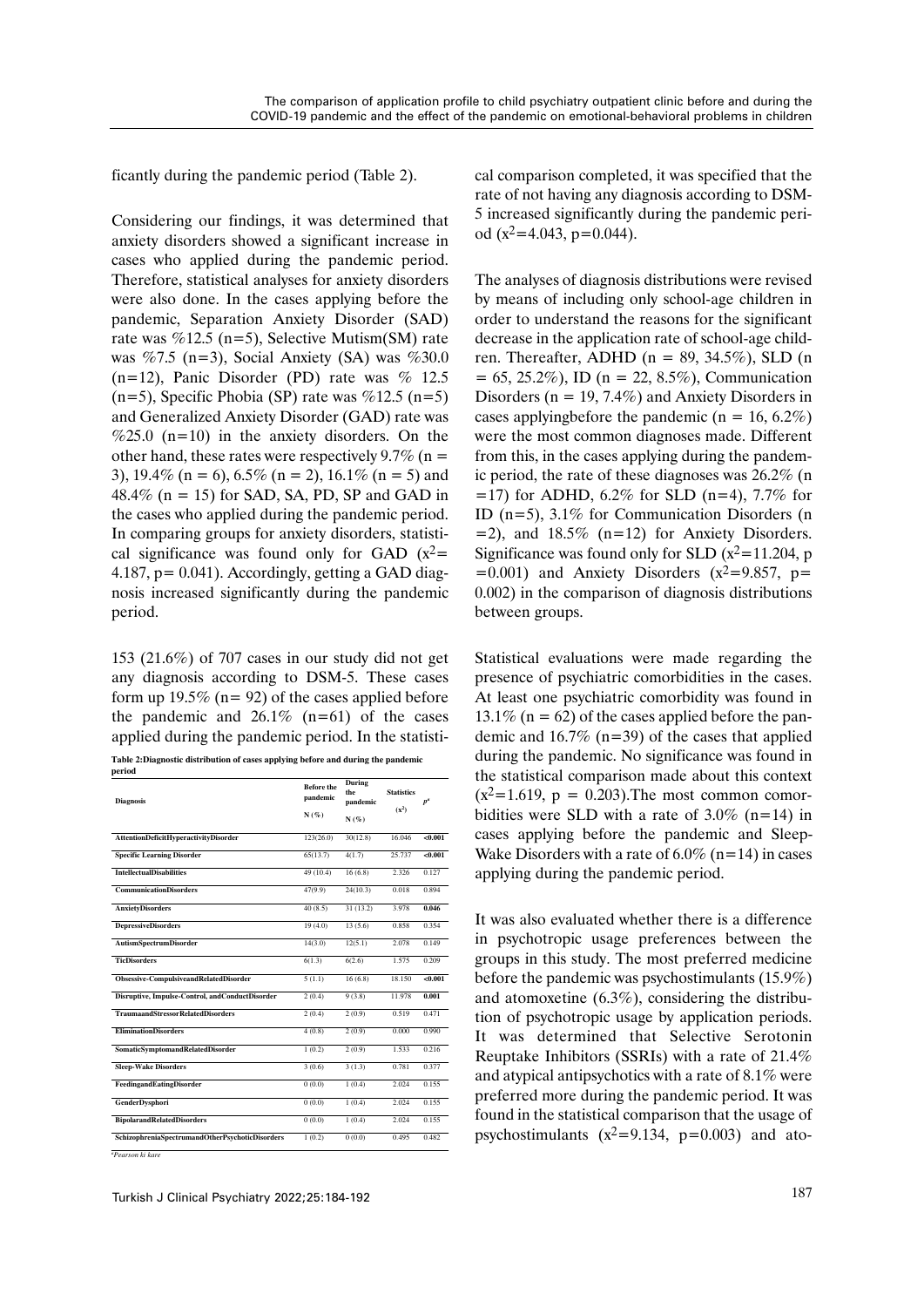ficantly during the pandemic period (Table 2).

Considering our findings, it was determined that anxiety disorders showed a significant increase in cases who applied during the pandemic period. Therefore, statistical analyses for anxiety disorders were also done. In the cases applying before the pandemic, Separation Anxiety Disorder (SAD) rate was  $\%$ 12.5 (n=5), Selective Mutism(SM) rate was %7.5 (n=3), Social Anxiety (SA) was %30.0  $(n=12)$ , Panic Disorder (PD) rate was % 12.5 (n=5), Specific Phobia (SP) rate was  $\%$ 12.5 (n=5) and Generalized Anxiety Disorder (GAD) rate was  $\%25.0$  (n=10) in the anxiety disorders. On the other hand, these rates were respectively 9.7% ( $n =$ 3), 19.4% (n = 6),  $6.5\%$  (n = 2), 16.1% (n = 5) and  $48.4\%$  (n = 15) for SAD, SA, PD, SP and GAD in the cases who applied during the pandemic period. In comparing groups for anxiety disorders, statistical significance was found only for GAD  $(x^2=$ 4.187, p= 0.041). Accordingly, getting a GAD diagnosis increased significantly during the pandemic period.

153 (21.6%) of 707 cases in our study did not get any diagnosis according to DSM-5. These cases form up 19.5% ( $n= 92$ ) of the cases applied before the pandemic and  $26.1\%$  (n=61) of the cases applied during the pandemic period. In the statisti-**Table 2:Diagnostic distribution of cases applying before and during the pandemic** 

| period                                          |                               |                           |                   |         |  |
|-------------------------------------------------|-------------------------------|---------------------------|-------------------|---------|--|
| <b>Diagnosis</b>                                | <b>Before the</b><br>pandemic | During<br>the<br>pandemic | <b>Statistics</b> | $p^a$   |  |
|                                                 | N(%)                          | N(%)                      | $(x^2)$           |         |  |
| AttentionDeficitHyperactivityDisorder           | 123(26.0)                     | 30(12.8)                  | 16.046            | < 0.001 |  |
| <b>Specific Learning Disorder</b>               | 65(13.7)                      | 4(1.7)                    | 25.737            | < 0.001 |  |
| <b>IntellectualDisabilities</b>                 | 49 (10.4)                     | 16(6.8)                   | 2.326             | 0.127   |  |
| <b>CommunicationDisorders</b>                   | 47(9.9)                       | 24(10.3)                  | 0.018             | 0.894   |  |
| <b>AnxietyDisorders</b>                         | 40(8.5)                       | 31 (13.2)                 | 3.978             | 0.046   |  |
| <b>DepressiveDisorders</b>                      | 19(4.0)                       | 13(5.6)                   | 0.858             | 0.354   |  |
| <b>AutismSpectrumDisorder</b>                   | 14(3.0)                       | 12(5.1)                   | 2.078             | 0.149   |  |
| <b>TicDisorders</b>                             | 6(1.3)                        | 6(2.6)                    | 1.575             | 0.209   |  |
| Obsessive-CompulsiveandRelatedDisorder          | 5(1.1)                        | 16(6.8)                   | 18.150            | <0.001  |  |
| Disruptive, Impulse-Control, andConductDisorder | 2(0.4)                        | 9(3.8)                    | 11.978            | 0.001   |  |
| <b>TraumaandStressorRelatedDisorders</b>        | 2(0.4)                        | 2(0.9)                    | 0.519             | 0.471   |  |
| <b>EliminationDisorders</b>                     | 4(0.8)                        | 2(0.9)                    | 0.000             | 0.990   |  |
| <b>SomaticSymptomandRelatedDisorder</b>         | 1(0.2)                        | 2(0.9)                    | 1.533             | 0.216   |  |
| <b>Sleep-Wake Disorders</b>                     | 3(0.6)                        | 3(1.3)                    | 0.781             | 0.377   |  |
| FeedingandEatingDisorder                        | 0(0.0)                        | 1(0.4)                    | 2.024             | 0.155   |  |
| <b>GenderDysphori</b>                           | 0(0.0)                        | 1(0.4)                    | 2.024             | 0.155   |  |
| <b>BipolarandRelatedDisorders</b>               | 0(0.0)                        | 1(0.4)                    | 2.024             | 0.155   |  |
| SchizophreniaSpectrumandOtherPsychoticDisorders | 1(0.2)                        | 0(0.0)                    | 0.495             | 0.482   |  |

*aPearson ki kare* 

cal comparison completed, it was specified that the rate of not having any diagnosis according to DSM-5 increased significantly during the pandemic period  $(x^2=4.043, p=0.044)$ .

The analyses of diagnosis distributions were revised by means of including only school-age children in order to understand the reasons for the significant decrease in the application rate of school-age children. Thereafter, ADHD ( $n = 89, 34.5\%$ ), SLD (n  $= 65, 25.2\%)$ , ID (n = 22, 8.5%), Communication Disorders ( $n = 19, 7.4\%$ ) and Anxiety Disorders in cases applying before the pandemic ( $n = 16, 6.2\%$ ) were the most common diagnoses made. Different from this, in the cases applying during the pandemic period, the rate of these diagnoses was 26.2% (n  $=$ 17) for ADHD, 6.2% for SLD (n=4), 7.7% for ID (n=5), 3.1% for Communication Disorders (n  $=$  2), and 18.5% (n=12) for Anxiety Disorders. Significance was found only for SLD  $(x^2=11.204, p$  $=0.001$ ) and Anxiety Disorders (x<sup>2</sup>=9.857, p= 0.002) in the comparison of diagnosis distributions between groups.

Statistical evaluations were made regarding the presence of psychiatric comorbidities in the cases. At least one psychiatric comorbidity was found in 13.1% ( $n = 62$ ) of the cases applied before the pandemic and  $16.7\%$  (n=39) of the cases that applied during the pandemic. No significance was found in the statistical comparison made about this context  $(x^2=1.619, p = 0.203)$ . The most common comorbidities were SLD with a rate of  $3.0\%$  (n=14) in cases applying before the pandemic and Sleep-Wake Disorders with a rate of  $6.0\%$  (n=14) in cases applying during the pandemic period.

It was also evaluated whether there is a difference in psychotropic usage preferences between the groups in this study. The most preferred medicine before the pandemic was psychostimulants (15.9%) and atomoxetine (6.3%), considering the distribution of psychotropic usage by application periods. It was determined that Selective Serotonin Reuptake Inhibitors (SSRIs) with a rate of 21.4% and atypical antipsychotics with a rate of 8.1% were preferred more during the pandemic period. It was found in the statistical comparison that the usage of psychostimulants  $(x^2=9.134, p=0.003)$  and ato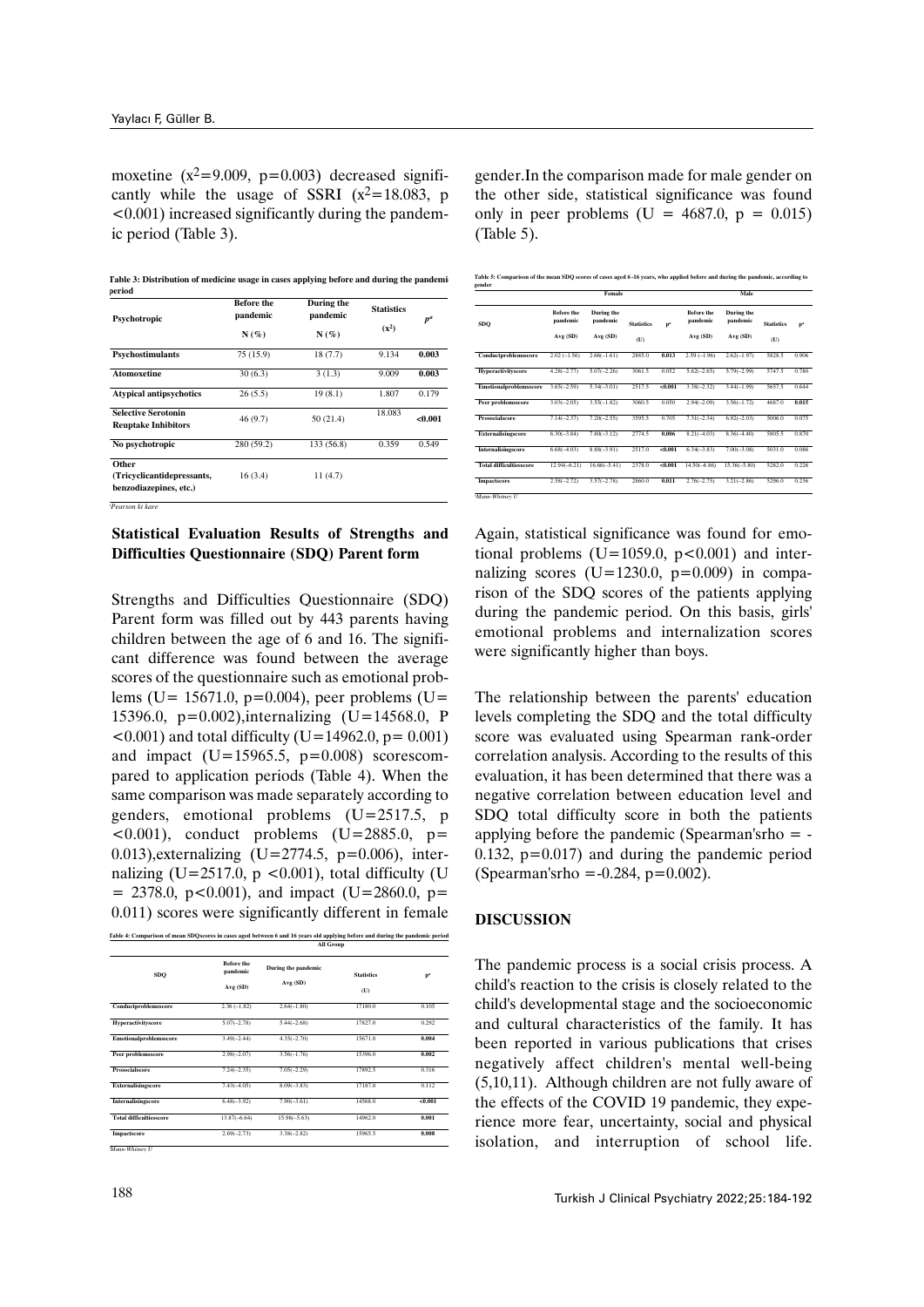moxetine  $(x^2=9.009, p=0.003)$  decreased significantly while the usage of SSRI  $(x^2=18.083, p)$  $\leq 0.001$ ) increased significantly during the pandemic period (Table 3).

Table 3: Distribution of medicine usage in cases applying before and during the pandemi **period**

| Psychotropic                                                  | <b>Before the</b><br>pandemic | During the<br>pandemic | <b>Statistics</b> | $p^a$   |  |
|---------------------------------------------------------------|-------------------------------|------------------------|-------------------|---------|--|
|                                                               | $N(\%)$                       | $N(\%)$                | $(x^2)$           |         |  |
| Psychostimulants                                              | 75 (15.9)                     | 18(7.7)                | 9.134             | 0.003   |  |
| <b>Atomoxetine</b>                                            | 30(6.3)                       | 3(1.3)                 | 9.009             | 0.003   |  |
| <b>Atypical antipsychotics</b>                                | 26(5.5)                       | 19(8.1)                | 1.807             | 0.179   |  |
| <b>Selective Serotonin</b><br><b>Reuptake Inhibitors</b>      | 46(9.7)                       | 50(21.4)               | 18.083            | < 0.001 |  |
| No psychotropic                                               | 280 (59.2)                    | 133 (56.8)             | 0.359             | 0.549   |  |
| Other<br>(Tricyclicantidepressants,<br>benzodiazepines, etc.) | 16(3.4)                       | 11 (4.7)               |                   |         |  |

*<sup>a</sup>Pearson ki kare* 

## **Statistical Evaluation Results of Strengths and Difficulties Questionnaire (SDQ) Parent form**

Strengths and Difficulties Questionnaire (SDQ) Parent form was filled out by 443 parents having children between the age of 6 and 16. The significant difference was found between the average scores of the questionnaire such as emotional problems (U=  $15671.0$ , p=0.004), peer problems (U= 15396.0, p=0.002),internalizing (U=14568.0, P  $(0.001)$  and total difficulty (U=14962.0, p= 0.001) and impact  $(U=15965.5, p=0.008)$  scorescompared to application periods (Table 4). When the same comparison was made separately according to genders, emotional problems (U=2517.5, p  $(0.001)$ , conduct problems  $(U=2885.0, p=$ 0.013), externalizing  $(U=2774.5, p=0.006)$ , internalizing (U=2517.0,  $p$  <0.001), total difficulty (U  $= 2378.0, p<0.001$ , and impact (U=2860.0, p= 0.011) scores were significantly different in female

| Fable 4: Comparison of mean SDOscores in cases aged between 6 and 16 years old applying before and during the pandemic period |
|-------------------------------------------------------------------------------------------------------------------------------|
| <b>All Group</b>                                                                                                              |

| SDQ                            | <b>Before the</b><br>pandemic | During the pandemic | <b>Statistics</b> | p <sup>2</sup> |
|--------------------------------|-------------------------------|---------------------|-------------------|----------------|
|                                | Avg (SD)                      | Avg (SD)            | (U)               |                |
| Conductproblemsscore           | $2.36(-1.82)$                 | $2.64(-1.80)$       | 17180.0           | 0.105          |
| Hyperactivityscore             | $5.07(-2.78)$                 | $5.44(-2.68)$       | 17827.0           | 0.292          |
| Emotionalproblemsscore         | $3.49(-2.44)$                 | $4.35(-2.70)$       | 15671.0           | 0.004          |
| Peer problemsscore             | $2.98(-2.07)$                 | $3.56(-1.76)$       | 15396.0           | 0.002          |
| Prosocialscore                 | $7.24(-2.35)$                 | $7.05(-2.29)$       | 17892.5           | 0.316          |
| Externalisingscore             | $7.43(-4.05)$                 | $8.09(-3.83)$       | 17187.0           | 0.112          |
| Internalisingscore             | $6.48(-3.92)$                 | $7.90(-3.61)$       | 14568.0           | < 0.001        |
| <b>Total difficultiesscore</b> | $13.87(-6.64)$                | $15.98(-5.63)$      | 14962.0           | 0.001          |
| Impactscore                    | $2.69(-2.73)$                 | $3.38(-2.82)$       | 15965.5           | 0.008          |

gender.In the comparison made for male gender on the other side, statistical significance was found only in peer problems (U =  $4687.0$ , p = 0.015) (Table 5).

| Table 5: Comparison of the mean SDQ scores of cases aged 6-16 years, who applied before and during the pandemic, according to |
|-------------------------------------------------------------------------------------------------------------------------------|
|                                                                                                                               |

|                                |                               | Female                        |                   |                |                               | Male                          |                   |                |
|--------------------------------|-------------------------------|-------------------------------|-------------------|----------------|-------------------------------|-------------------------------|-------------------|----------------|
| <b>SDO</b>                     | <b>Refore the</b><br>pandemic | <b>During the</b><br>pandemic | <b>Statistics</b> | p <sup>2</sup> | <b>Before the</b><br>pandemic | <b>During the</b><br>pandemic | <b>Statistics</b> | p <sup>2</sup> |
|                                | Avg (SD)                      | Avg (SD)                      | (U)               |                | Avg (SD)                      | Avg (SD)                      | (U)               |                |
| Conductproblemsscore           | $2.02(-1.56)$                 | $2.66(-1.61)$                 | 2885.0            | 0.013          | $2.59(-1.96)$                 | $2.62(-1.97)$                 | 5828.5            | 0.906          |
| <b>Hyperactivityscore</b>      | $4.28(-2.77)$                 | $5.07(-2.26)$                 | 3061.5            | 0.052          | $5.62(-2.65)$                 | $5.79(-2.99)$                 | 5747.5            | 0.780          |
| Emotionalproblemsscore         | $3.65(-2.59)$                 | $5.34(-3.01)$                 | 2517.5            | < 0.001        | $3.38(-2.32)$                 | $3.44(-1.99)$                 | 5657.5            | 0.644          |
| <b>Peer problemsscore</b>      | $3.03(-2.05)$                 | $3.55(-1.82)$                 | 3060.5            | 0.050          | $2.94(-2.09)$                 | $3.56(-1.72)$                 | 4687.0            | 0.015          |
| Prosocialscore                 | $7.14(-2.37)$                 | $7.20(-2.55)$                 | 3595.5            | 0.705          | $7.31(-2.34)$                 | $6.92(-2.03)$                 | 5006.0            | 0.075          |
| <b>Externalisingscore</b>      | $6.30(-3.84)$                 | $7.80(-3.12)$                 | 2774.5            | 0.006          | $8.21(-4.03)$                 | $8.36(-4.40)$                 | 5805.5            | 0.870          |
| Internalisingscore             | $6.68(-4.03)$                 | $8.88(-3.91)$                 | 2517.0            | < 0.001        | $6.34(-3.83)$                 | $7.00(-3.08)$                 | 5031.0            | 0.086          |
| <b>Total difficultiesscore</b> | $12.94(-6.21)$                | $16.66(-5.41)$                | 2378.0            | < 0.001        | $14.50(-6.86)$                | $15.36(-5.80)$                | 5282.0            | 0.226          |
| Impactscore                    | $2.58(-2.72)$                 | $3.57(-2.78)$                 | 2860.0            | 0.011          | $2.76(-2.75)$                 | $3.21(-2.86)$                 | 5296.0            | 0.236          |

Again, statistical significance was found for emotional problems  $(U=1059.0, p<0.001)$  and internalizing scores  $(U=1230.0, p=0.009)$  in comparison of the SDQ scores of the patients applying during the pandemic period. On this basis, girls' emotional problems and internalization scores were significantly higher than boys.

The relationship between the parents' education levels completing the SDQ and the total difficulty score was evaluated using Spearman rank-order correlation analysis. According to the results of this evaluation, it has been determined that there was a negative correlation between education level and SDQ total difficulty score in both the patients applying before the pandemic (Spearman'srho = - 0.132,  $p=0.017$ ) and during the pandemic period (Spearman'srho =  $-0.284$ , p= $0.002$ ).

#### **DISCUSSION**

The pandemic process is a social crisis process. A child's reaction to the crisis is closely related to the child's developmental stage and the socioeconomic and cultural characteristics of the family. It has been reported in various publications that crises negatively affect children's mental well-being (5,10,11). Although children are not fully aware of the effects of the COVID 19 pandemic, they experience more fear, uncertainty, social and physical isolation, and interruption of school life.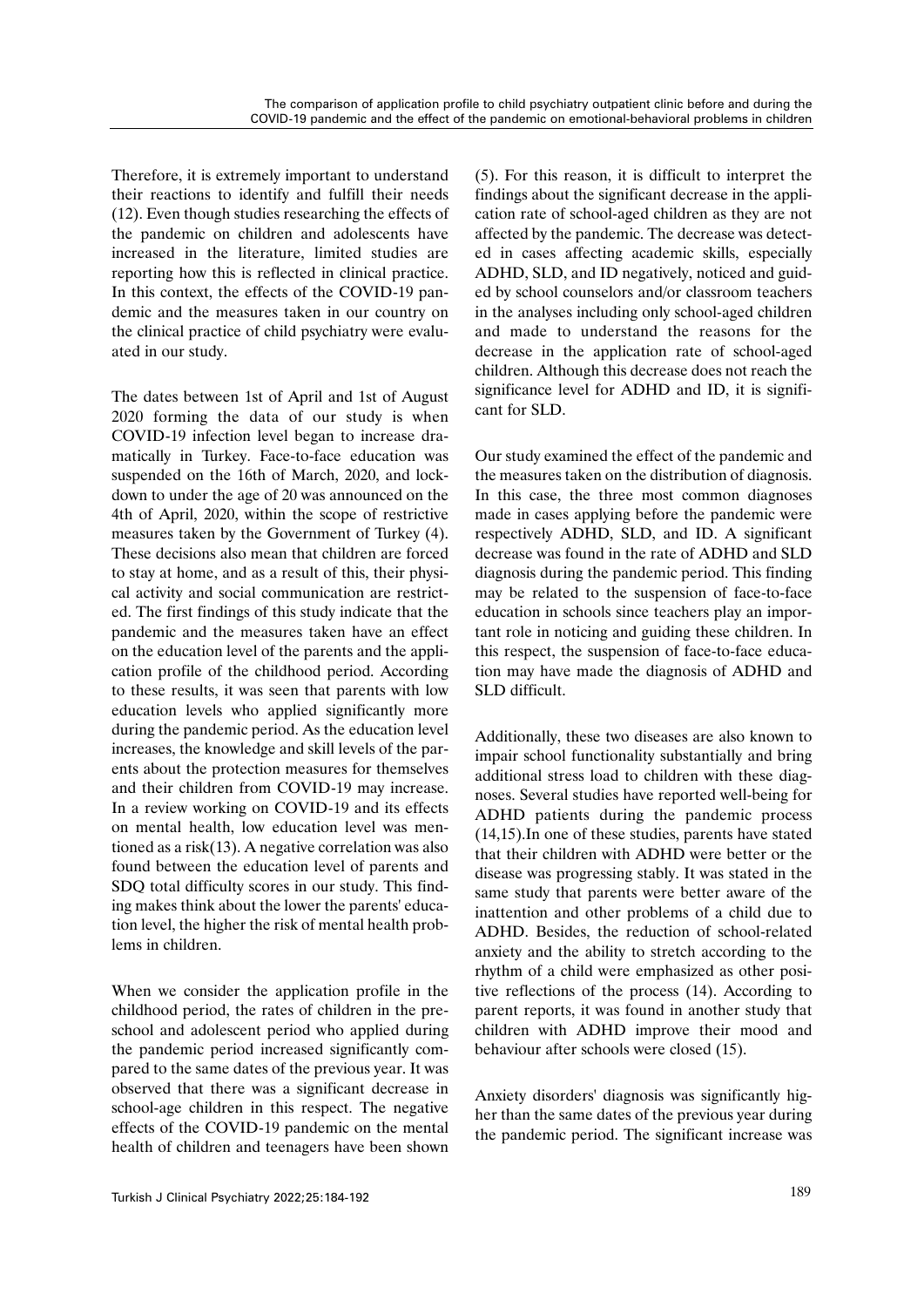Therefore, it is extremely important to understand their reactions to identify and fulfill their needs (12). Even though studies researching the effects of the pandemic on children and adolescents have increased in the literature, limited studies are reporting how this is reflected in clinical practice. In this context, the effects of the COVID-19 pandemic and the measures taken in our country on the clinical practice of child psychiatry were evaluated in our study.

The dates between 1st of April and 1st of August 2020 forming the data of our study is when COVID-19 infection level began to increase dramatically in Turkey. Face-to-face education was suspended on the 16th of March, 2020, and lockdown to under the age of 20 was announced on the 4th of April, 2020, within the scope of restrictive measures taken by the Government of Turkey (4). These decisions also mean that children are forced to stay at home, and as a result of this, their physical activity and social communication are restricted. The first findings of this study indicate that the pandemic and the measures taken have an effect on the education level of the parents and the application profile of the childhood period. According to these results, it was seen that parents with low education levels who applied significantly more during the pandemic period. As the education level increases, the knowledge and skill levels of the parents about the protection measures for themselves and their children from COVID-19 may increase. In a review working on COVID-19 and its effects on mental health, low education level was mentioned as a risk(13). A negative correlation was also found between the education level of parents and SDQ total difficulty scores in our study. This finding makes think about the lower the parents' education level, the higher the risk of mental health problems in children.

When we consider the application profile in the childhood period, the rates of children in the preschool and adolescent period who applied during the pandemic period increased significantly compared to the same dates of the previous year. It was observed that there was a significant decrease in school-age children in this respect. The negative effects of the COVID-19 pandemic on the mental health of children and teenagers have been shown (5). For this reason, it is difficult to interpret the findings about the significant decrease in the application rate of school-aged children as they are not affected by the pandemic. The decrease was detected in cases affecting academic skills, especially ADHD, SLD, and ID negatively, noticed and guided by school counselors and/or classroom teachers in the analyses including only school-aged children and made to understand the reasons for the decrease in the application rate of school-aged children. Although this decrease does not reach the significance level for ADHD and ID, it is significant for SLD.

Our study examined the effect of the pandemic and the measures taken on the distribution of diagnosis. In this case, the three most common diagnoses made in cases applying before the pandemic were respectively ADHD, SLD, and ID. A significant decrease was found in the rate of ADHD and SLD diagnosis during the pandemic period. This finding may be related to the suspension of face-to-face education in schools since teachers play an important role in noticing and guiding these children. In this respect, the suspension of face-to-face education may have made the diagnosis of ADHD and SLD difficult.

Additionally, these two diseases are also known to impair school functionality substantially and bring additional stress load to children with these diagnoses. Several studies have reported well-being for ADHD patients during the pandemic process (14,15).In one of these studies, parents have stated that their children with ADHD were better or the disease was progressing stably. It was stated in the same study that parents were better aware of the inattention and other problems of a child due to ADHD. Besides, the reduction of school-related anxiety and the ability to stretch according to the rhythm of a child were emphasized as other positive reflections of the process (14). According to parent reports, it was found in another study that children with ADHD improve their mood and behaviour after schools were closed (15).

Anxiety disorders' diagnosis was significantly higher than the same dates of the previous year during the pandemic period. The significant increase was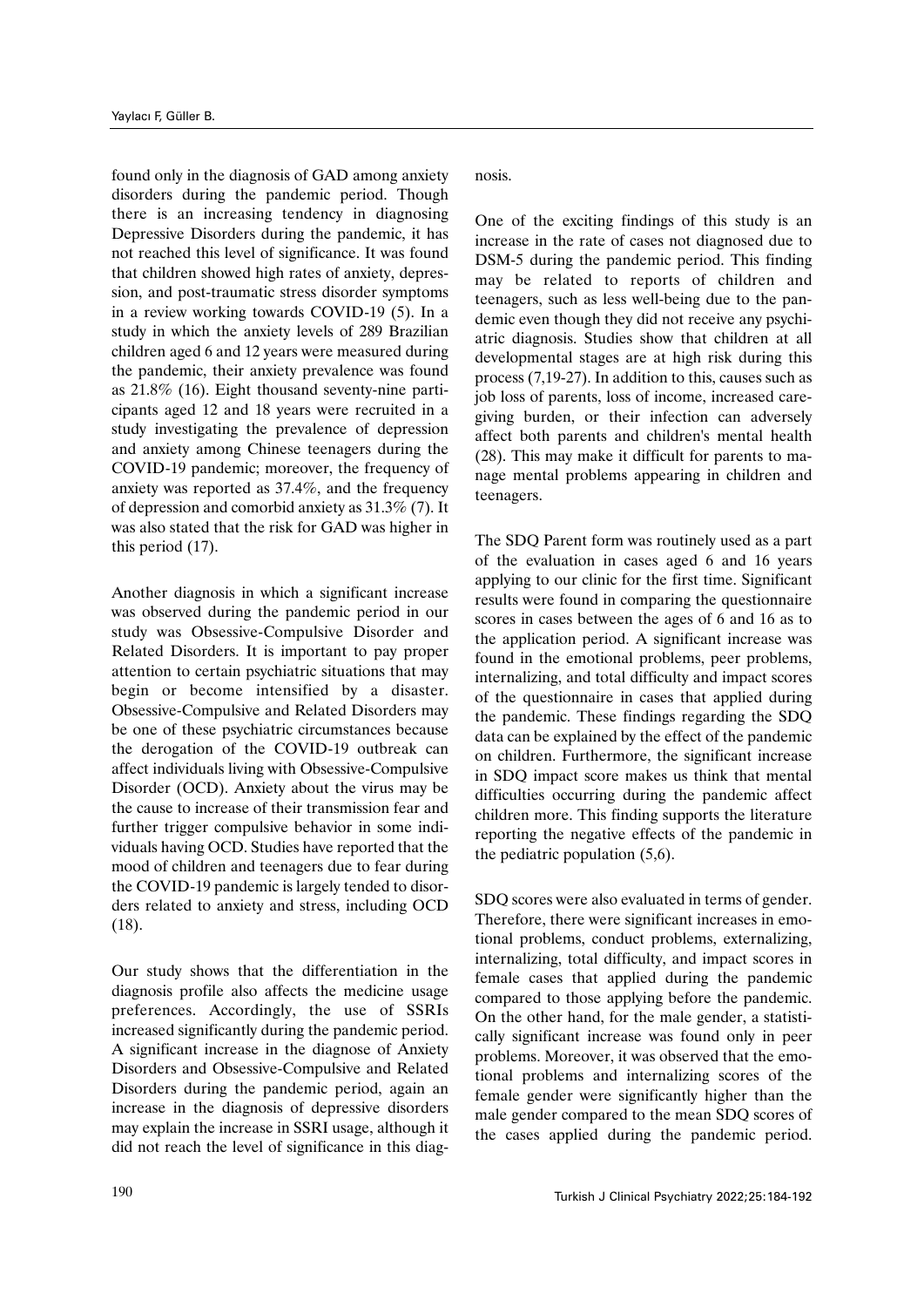found only in the diagnosis of GAD among anxiety disorders during the pandemic period. Though there is an increasing tendency in diagnosing Depressive Disorders during the pandemic, it has not reached this level of significance. It was found that children showed high rates of anxiety, depression, and post-traumatic stress disorder symptoms in a review working towards COVID-19 (5). In a study in which the anxiety levels of 289 Brazilian children aged 6 and 12 years were measured during the pandemic, their anxiety prevalence was found as 21.8% (16). Eight thousand seventy-nine participants aged 12 and 18 years were recruited in a study investigating the prevalence of depression and anxiety among Chinese teenagers during the COVID-19 pandemic; moreover, the frequency of anxiety was reported as 37.4%, and the frequency of depression and comorbid anxiety as 31.3% (7). It was also stated that the risk for GAD was higher in this period (17).

Another diagnosis in which a significant increase was observed during the pandemic period in our study was Obsessive-Compulsive Disorder and Related Disorders. It is important to pay proper attention to certain psychiatric situations that may begin or become intensified by a disaster. Obsessive-Compulsive and Related Disorders may be one of these psychiatric circumstances because the derogation of the COVID-19 outbreak can affect individuals living with Obsessive-Compulsive Disorder (OCD). Anxiety about the virus may be the cause to increase of their transmission fear and further trigger compulsive behavior in some individuals having OCD. Studies have reported that the mood of children and teenagers due to fear during the COVID-19 pandemic is largely tended to disorders related to anxiety and stress, including OCD (18).

Our study shows that the differentiation in the diagnosis profile also affects the medicine usage preferences. Accordingly, the use of SSRIs increased significantly during the pandemic period. A significant increase in the diagnose of Anxiety Disorders and Obsessive-Compulsive and Related Disorders during the pandemic period, again an increase in the diagnosis of depressive disorders may explain the increase in SSRI usage, although it did not reach the level of significance in this diagnosis.

One of the exciting findings of this study is an increase in the rate of cases not diagnosed due to DSM-5 during the pandemic period. This finding may be related to reports of children and teenagers, such as less well-being due to the pandemic even though they did not receive any psychiatric diagnosis. Studies show that children at all developmental stages are at high risk during this process (7,19-27). In addition to this, causes such as job loss of parents, loss of income, increased caregiving burden, or their infection can adversely affect both parents and children's mental health (28). This may make it difficult for parents to manage mental problems appearing in children and teenagers.

The SDQ Parent form was routinely used as a part of the evaluation in cases aged 6 and 16 years applying to our clinic for the first time. Significant results were found in comparing the questionnaire scores in cases between the ages of 6 and 16 as to the application period. A significant increase was found in the emotional problems, peer problems, internalizing, and total difficulty and impact scores of the questionnaire in cases that applied during the pandemic. These findings regarding the SDQ data can be explained by the effect of the pandemic on children. Furthermore, the significant increase in SDQ impact score makes us think that mental difficulties occurring during the pandemic affect children more. This finding supports the literature reporting the negative effects of the pandemic in the pediatric population (5,6).

SDQ scores were also evaluated in terms of gender. Therefore, there were significant increases in emotional problems, conduct problems, externalizing, internalizing, total difficulty, and impact scores in female cases that applied during the pandemic compared to those applying before the pandemic. On the other hand, for the male gender, a statistically significant increase was found only in peer problems. Moreover, it was observed that the emotional problems and internalizing scores of the female gender were significantly higher than the male gender compared to the mean SDQ scores of the cases applied during the pandemic period.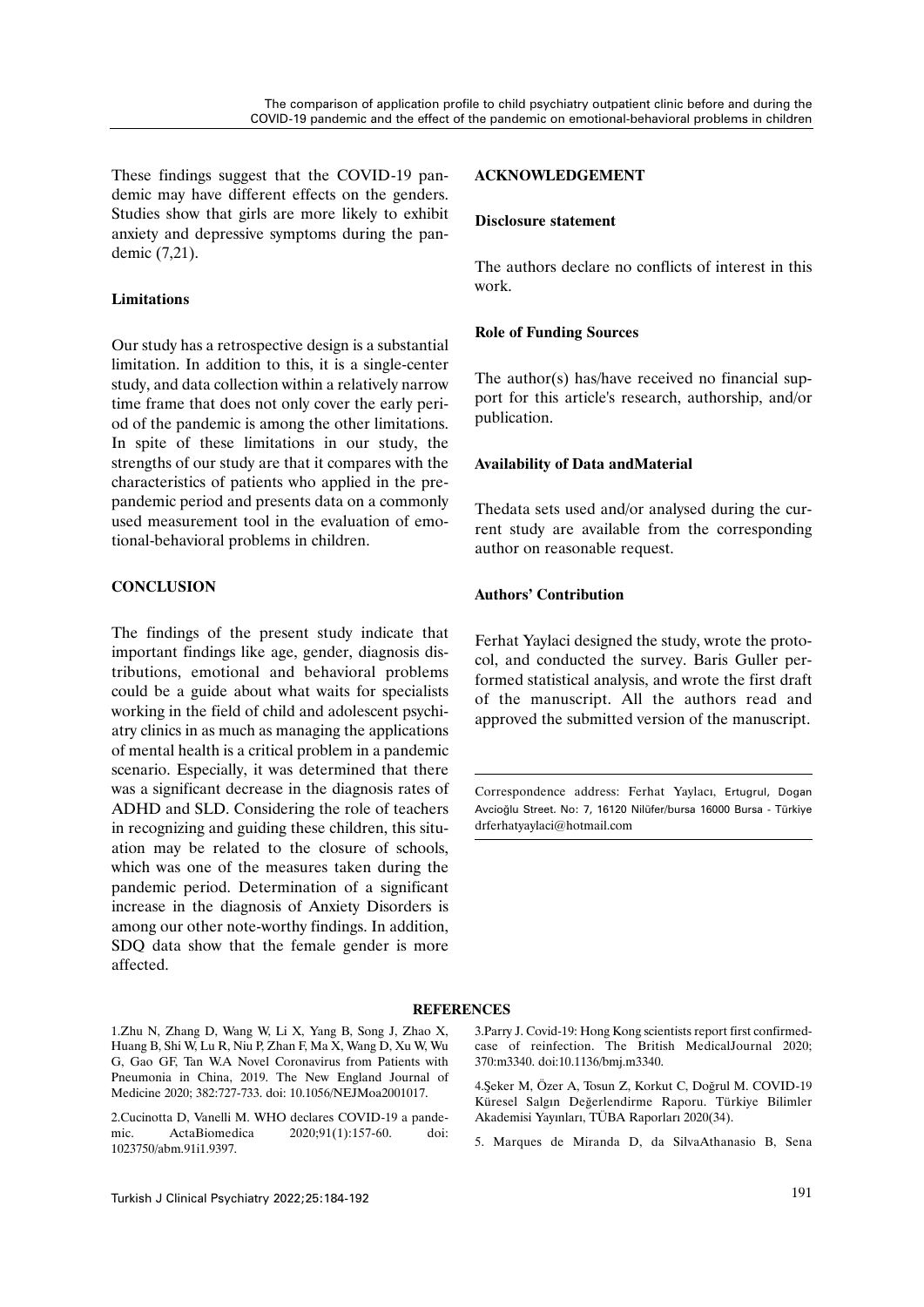These findings suggest that the COVID-19 pandemic may have different effects on the genders. Studies show that girls are more likely to exhibit anxiety and depressive symptoms during the pandemic (7,21).

## **Limitations**

Our study has a retrospective design is a substantial limitation. In addition to this, it is a single-center study, and data collection within a relatively narrow time frame that does not only cover the early period of the pandemic is among the other limitations. In spite of these limitations in our study, the strengths of our study are that it compares with the characteristics of patients who applied in the prepandemic period and presents data on a commonly used measurement tool in the evaluation of emotional-behavioral problems in children.

## **CONCLUSION**

The findings of the present study indicate that important findings like age, gender, diagnosis distributions, emotional and behavioral problems could be a guide about what waits for specialists working in the field of child and adolescent psychiatry clinics in as much as managing the applications of mental health is a critical problem in a pandemic scenario. Especially, it was determined that there was a significant decrease in the diagnosis rates of ADHD and SLD. Considering the role of teachers in recognizing and guiding these children, this situation may be related to the closure of schools, which was one of the measures taken during the pandemic period. Determination of a significant increase in the diagnosis of Anxiety Disorders is among our other note-worthy findings. In addition, SDQ data show that the female gender is more affected.

### **ACKNOWLEDGEMENT**

#### **Disclosure statement**

The authors declare no conflicts of interest in this work.

## **Role of Funding Sources**

The author(s) has/have received no financial support for this article's research, authorship, and/or publication.

#### **Availability of Data andMaterial**

Thedata sets used and/or analysed during the current study are available from the corresponding author on reasonable request.

#### **Authors' Contribution**

Ferhat Yaylaci designed the study, wrote the protocol, and conducted the survey. Baris Guller performed statistical analysis, and wrote the first draft of the manuscript. All the authors read and approved the submitted version of the manuscript.

Correspondence address: Ferhat Yaylacı, Ertugrul, Dogan Avcioğlu Street. No: 7, 16120 Nilüfer/bursa 16000 Bursa - Türkiye drferhatyaylaci@hotmail.com

#### **REFERENCES**

1.Zhu N, Zhang D, Wang W, Li X, Yang B, Song J, Zhao X, Huang B, Shi W, Lu R, Niu P, Zhan F, Ma X, Wang D, Xu W, Wu G, Gao GF, Tan W.A Novel Coronavirus from Patients with Pneumonia in China, 2019. The New England Journal of Medicine 2020; 382:727-733. doi: 10.1056/NEJMoa2001017.

2.Cucinotta D, Vanelli M. WHO declares COVID-19 a pandemic. ActaBiomedica 2020;91(1):157-60. doi: 1023750/abm.91i1.9397.

3.Parry J. Covid-19: Hong Kong scientists report first confirmedcase of reinfection. The British MedicalJournal 2020; 370:m3340. doi:10.1136/bmj.m3340.

4.Şeker M, Özer A, Tosun Z, Korkut C, Doğrul M. COVID-19 Küresel Salgın Değerlendirme Raporu. Türkiye Bilimler Akademisi Yayınları, TÜBA Raporları 2020(34).

5. Marques de Miranda D, da SilvaAthanasio B, Sena